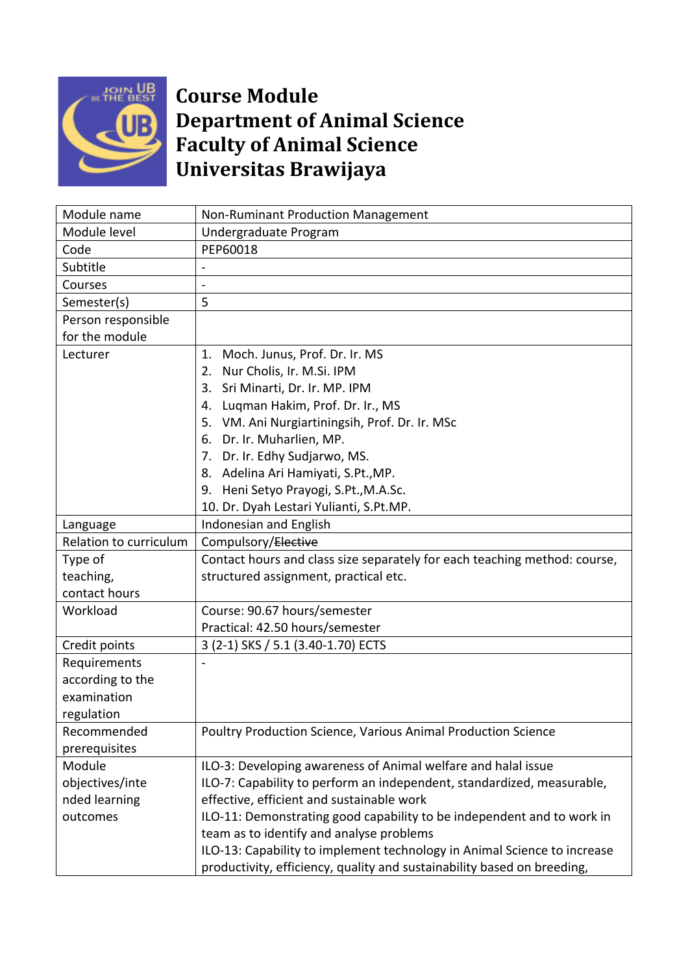

## **Course Module Department of Animal Science Faculty of Animal Science Universitas Brawijaya**

| Module name            | Non-Ruminant Production Management                                        |
|------------------------|---------------------------------------------------------------------------|
| Module level           | Undergraduate Program                                                     |
| Code                   | PEP60018                                                                  |
| Subtitle               |                                                                           |
| Courses                |                                                                           |
| Semester(s)            | 5                                                                         |
| Person responsible     |                                                                           |
| for the module         |                                                                           |
| Lecturer               | 1. Moch. Junus, Prof. Dr. Ir. MS                                          |
|                        | Nur Cholis, Ir. M.Si. IPM<br>2.                                           |
|                        | 3. Sri Minarti, Dr. Ir. MP. IPM                                           |
|                        | 4. Luqman Hakim, Prof. Dr. Ir., MS                                        |
|                        | 5. VM. Ani Nurgiartiningsih, Prof. Dr. Ir. MSc                            |
|                        | 6. Dr. Ir. Muharlien, MP.                                                 |
|                        | 7. Dr. Ir. Edhy Sudjarwo, MS.                                             |
|                        | 8. Adelina Ari Hamiyati, S.Pt., MP.                                       |
|                        | 9. Heni Setyo Prayogi, S.Pt., M.A.Sc.                                     |
|                        | 10. Dr. Dyah Lestari Yulianti, S.Pt.MP.                                   |
| Language               | Indonesian and English                                                    |
| Relation to curriculum | Compulsory/Elective                                                       |
| Type of                | Contact hours and class size separately for each teaching method: course, |
| teaching,              | structured assignment, practical etc.                                     |
| contact hours          |                                                                           |
| Workload               | Course: 90.67 hours/semester                                              |
|                        | Practical: 42.50 hours/semester                                           |
| Credit points          | 3 (2-1) SKS / 5.1 (3.40-1.70) ECTS                                        |
| Requirements           |                                                                           |
| according to the       |                                                                           |
| examination            |                                                                           |
| regulation             |                                                                           |
| Recommended            | Poultry Production Science, Various Animal Production Science             |
| prerequisites          |                                                                           |
| Module                 | ILO-3: Developing awareness of Animal welfare and halal issue             |
| objectives/inte        | ILO-7: Capability to perform an independent, standardized, measurable,    |
| nded learning          | effective, efficient and sustainable work                                 |
| outcomes               | ILO-11: Demonstrating good capability to be independent and to work in    |
|                        | team as to identify and analyse problems                                  |
|                        | ILO-13: Capability to implement technology in Animal Science to increase  |
|                        | productivity, efficiency, quality and sustainability based on breeding,   |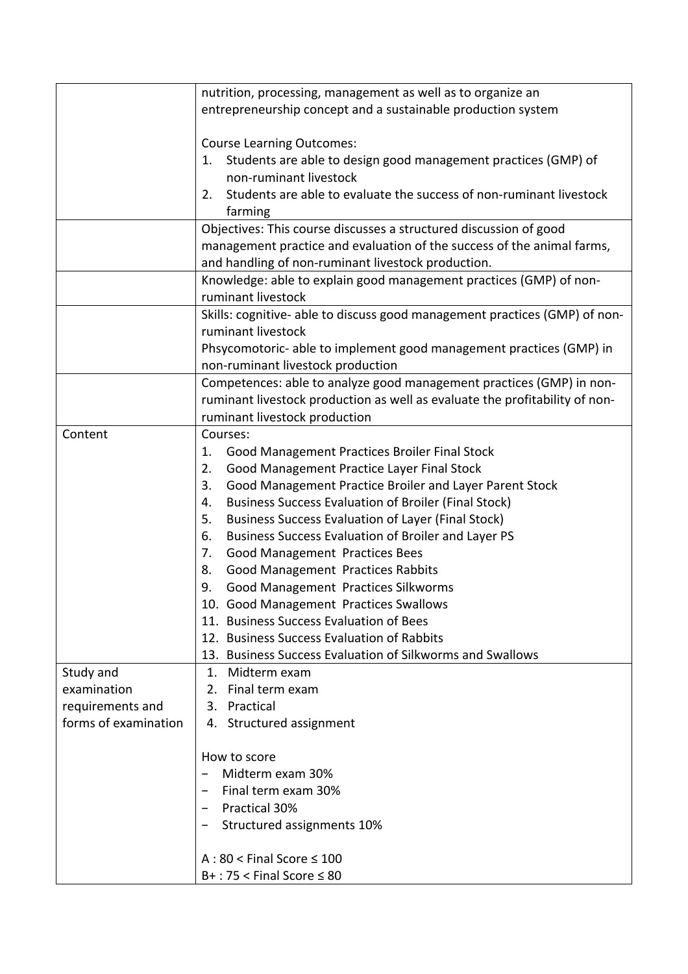|                      | nutrition, processing, management as well as to organize an                              |
|----------------------|------------------------------------------------------------------------------------------|
|                      | entrepreneurship concept and a sustainable production system                             |
|                      |                                                                                          |
|                      | <b>Course Learning Outcomes:</b>                                                         |
|                      | Students are able to design good management practices (GMP) of<br>1.                     |
|                      | non-ruminant livestock                                                                   |
|                      | Students are able to evaluate the success of non-ruminant livestock<br>2.                |
|                      | farming                                                                                  |
|                      | Objectives: This course discusses a structured discussion of good                        |
|                      | management practice and evaluation of the success of the animal farms,                   |
|                      | and handling of non-ruminant livestock production.                                       |
|                      |                                                                                          |
|                      | Knowledge: able to explain good management practices (GMP) of non-<br>ruminant livestock |
|                      |                                                                                          |
|                      | Skills: cognitive- able to discuss good management practices (GMP) of non-               |
|                      | ruminant livestock                                                                       |
|                      | Phsycomotoric- able to implement good management practices (GMP) in                      |
|                      | non-ruminant livestock production                                                        |
|                      | Competences: able to analyze good management practices (GMP) in non-                     |
|                      | ruminant livestock production as well as evaluate the profitability of non-              |
|                      | ruminant livestock production                                                            |
| Content              | Courses:                                                                                 |
|                      | Good Management Practices Broiler Final Stock<br>1.                                      |
|                      | Good Management Practice Layer Final Stock<br>2.                                         |
|                      | Good Management Practice Broiler and Layer Parent Stock<br>3.                            |
|                      | <b>Business Success Evaluation of Broiler (Final Stock)</b><br>4.                        |
|                      | <b>Business Success Evaluation of Layer (Final Stock)</b><br>5.                          |
|                      | Business Success Evaluation of Broiler and Layer PS<br>6.                                |
|                      | Good Management Practices Bees<br>7.                                                     |
|                      | <b>Good Management Practices Rabbits</b><br>8.                                           |
|                      | Good Management Practices Silkworms<br>9.                                                |
|                      | 10. Good Management Practices Swallows                                                   |
|                      | 11. Business Success Evaluation of Bees                                                  |
|                      | 12. Business Success Evaluation of Rabbits                                               |
|                      | 13. Business Success Evaluation of Silkworms and Swallows                                |
| Study and            | Midterm exam<br>1.                                                                       |
| examination          | 2. Final term exam                                                                       |
| requirements and     | 3. Practical                                                                             |
| forms of examination | Structured assignment<br>4.                                                              |
|                      |                                                                                          |
|                      | How to score                                                                             |
|                      | Midterm exam 30%                                                                         |
|                      | Final term exam 30%                                                                      |
|                      | <b>Practical 30%</b>                                                                     |
|                      | Structured assignments 10%                                                               |
|                      |                                                                                          |
|                      | $A:80 <$ Final Score $\leq 100$                                                          |
|                      | $B+$ : 75 < Final Score $\leq 80$                                                        |
|                      |                                                                                          |